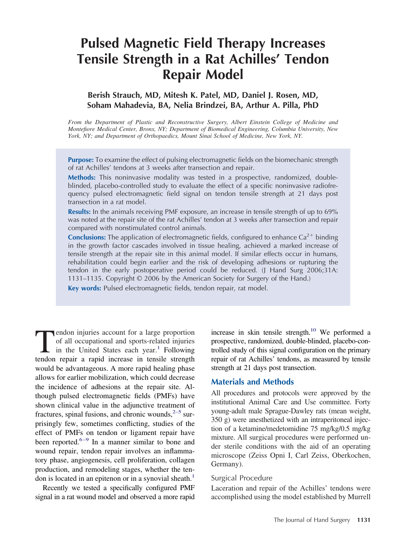# **Pulsed Magnetic Field Therapy Increases Tensile Strength in a Rat Achilles' Tendon Repair Model**

# **Berish Strauch, MD, Mitesh K. Patel, MD, Daniel J. Rosen, MD, Soham Mahadevia, BA, Nelia Brindzei, BA, Arthur A. Pilla, PhD**

*From the Department of Plastic and Reconstructive Surgery, Albert Einstein College of Medicine and Montefiore Medical Center, Bronx, NY; Department of Biomedical Engineering, Columbia University, New York, NY; and Department of Orthopaedics, Mount Sinai School of Medicine, New York, NY.*

**Purpose:** To examine the effect of pulsing electromagnetic fields on the biomechanic strength of rat Achilles' tendons at 3 weeks after transection and repair.

**Methods:** This noninvasive modality was tested in a prospective, randomized, doubleblinded, placebo-controlled study to evaluate the effect of a specific noninvasive radiofrequency pulsed electromagnetic field signal on tendon tensile strength at 21 days post transection in a rat model.

**Results:** In the animals receiving PMF exposure, an increase in tensile strength of up to 69% was noted at the repair site of the rat Achilles' tendon at 3 weeks after transection and repair compared with nonstimulated control animals.

**Conclusions:** The application of electromagnetic fields, configured to enhance  $Ca^{2+}$  binding in the growth factor cascades involved in tissue healing, achieved a marked increase of tensile strength at the repair site in this animal model. If similar effects occur in humans, rehabilitation could begin earlier and the risk of developing adhesions or rupturing the tendon in the early postoperative period could be reduced. (J Hand Surg 2006;31A: 1131–1135. Copyright © 2006 by the American Society for Surgery of the Hand.)

**Key words:** Pulsed electromagnetic fields, tendon repair, rat model.

endon injuries account for a large proportion<br>of all occupational and sports-related injuries<br>in the United States each year.<sup>1</sup> Following<br>tendon repair a rapid increase in tensile strength of all occupational and sports-related injuries in the United States each year.<sup>1</sup> Following tendon repair a rapid increase in tensile strength would be advantageous. A more rapid healing phase allows for earlier mobilization, which could decrease the incidence of adhesions at the repair site. Although pulsed electromagnetic fields (PMFs) have shown clinical value in the adjunctive treatment of fractures, spinal fusions, and chronic wounds, $2-5$  surprisingly few, sometimes conflicting, studies of the effect of PMFs on tendon or ligament repair have been reported.<sup> $6-9$ </sup> In a manner similar to bone and wound repair, tendon repair involves an inflammatory phase, angiogenesis, cell proliferation, collagen production, and remodeling stages, whether the tendon is located in an epitenon or in a synovial sheath.<sup>1</sup>

Recently we tested a specifically configured PMF signal in a rat wound model and observed a more rapid increase in skin tensile strength[.10](#page-4-0) We performed a prospective, randomized, double-blinded, placebo-controlled study of this signal configuration on the primary repair of rat Achilles' tendons, as measured by tensile strength at 21 days post transection.

## **Materials and Methods**

All procedures and protocols were approved by the institutional Animal Care and Use committee. Forty young-adult male Sprague-Dawley rats (mean weight, 350 g) were anesthetized with an intraperitoneal injection of a ketamine/medetomidine 75 mg/kg/0.5 mg/kg mixture. All surgical procedures were performed under sterile conditions with the aid of an operating microscope (Zeiss Opni I, Carl Zeiss, Oberkochen, Germany).

#### Surgical Procedure

Laceration and repair of the Achilles' tendons were accomplished using the model established by Murrell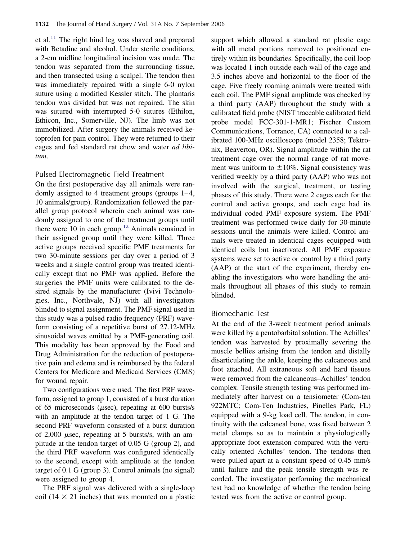et al. $<sup>11</sup>$  The right hind leg was shaved and prepared</sup> with Betadine and alcohol. Under sterile conditions, a 2-cm midline longitudinal incision was made. The tendon was separated from the surrounding tissue, and then transected using a scalpel. The tendon then was immediately repaired with a single 6-0 nylon suture using a modified Kessler stitch. The plantaris tendon was divided but was not repaired. The skin was sutured with interrupted 5-0 sutures (Ethilon, Ethicon, Inc., Somerville, NJ). The limb was not immobilized. After surgery the animals received ketoprofen for pain control. They were returned to their cages and fed standard rat chow and water *ad libitum*.

#### Pulsed Electromagnetic Field Treatment

On the first postoperative day all animals were randomly assigned to 4 treatment groups (groups  $1-4$ , 10 animals/group). Randomization followed the parallel group protocol wherein each animal was randomly assigned to one of the treatment groups until there were 10 in each group.<sup>12</sup> Animals remained in their assigned group until they were killed. Three active groups received specific PMF treatments for two 30-minute sessions per day over a period of 3 weeks and a single control group was treated identically except that no PMF was applied. Before the surgeries the PMF units were calibrated to the desired signals by the manufacturer (Ivivi Technologies, Inc., Northvale, NJ) with all investigators blinded to signal assignment. The PMF signal used in this study was a pulsed radio frequency (PRF) waveform consisting of a repetitive burst of 27.12-MHz sinusoidal waves emitted by a PMF-generating coil. This modality has been approved by the Food and Drug Administration for the reduction of postoperative pain and edema and is reimbursed by the federal Centers for Medicare and Medicaid Services (CMS) for wound repair.

Two configurations were used. The first PRF waveform, assigned to group 1, consisted of a burst duration of 65 microseconds ( $\mu$ sec), repeating at 600 bursts/s with an amplitude at the tendon target of 1 G. The second PRF waveform consisted of a burst duration of 2,000  $\mu$ sec, repeating at 5 bursts/s, with an amplitude at the tendon target of 0.05 G (group 2), and the third PRF waveform was configured identically to the second, except with amplitude at the tendon target of 0.1 G (group 3). Control animals (no signal) were assigned to group 4.

The PRF signal was delivered with a single-loop coil ( $14 \times 21$  inches) that was mounted on a plastic

support which allowed a standard rat plastic cage with all metal portions removed to positioned entirely within its boundaries. Specifically, the coil loop was located 1 inch outside each wall of the cage and 3.5 inches above and horizontal to the floor of the cage. Five freely roaming animals were treated with each coil. The PMF signal amplitude was checked by a third party (AAP) throughout the study with a calibrated field probe (NIST traceable calibrated field probe model FCC-301-1-MR1; Fischer Custom Communications, Torrance, CA) connected to a calibrated 100-MHz oscilloscope (model 2358; Tektronix, Beaverton, OR). Signal amplitude within the rat treatment cage over the normal range of rat movement was uniform to  $\pm 10\%$ . Signal consistency was verified weekly by a third party (AAP) who was not involved with the surgical, treatment, or testing phases of this study. There were 2 cages each for the control and active groups, and each cage had its individual coded PMF exposure system. The PMF treatment was performed twice daily for 30-minute sessions until the animals were killed. Control animals were treated in identical cages equipped with identical coils but inactivated. All PMF exposure systems were set to active or control by a third party (AAP) at the start of the experiment, thereby enabling the investigators who were handling the animals throughout all phases of this study to remain blinded.

## Biomechanic Test

At the end of the 3-week treatment period animals were killed by a pentobarbital solution. The Achilles' tendon was harvested by proximally severing the muscle bellies arising from the tendon and distally disarticulating the ankle, keeping the calcaneous and foot attached. All extraneous soft and hard tissues were removed from the calcaneous–Achilles' tendon complex. Tensile strength testing was performed immediately after harvest on a tensiometer (Com-ten 922MTC; Com-Ten Industries, Pinelles Park, FL) equipped with a 9-kg load cell. The tendon, in continuity with the calcaneal bone, was fixed between 2 metal clamps so as to maintain a physiologically appropriate foot extension compared with the vertically oriented Achilles' tendon. The tendons then were pulled apart at a constant speed of 0.45 mm/s until failure and the peak tensile strength was recorded. The investigator performing the mechanical test had no knowledge of whether the tendon being tested was from the active or control group.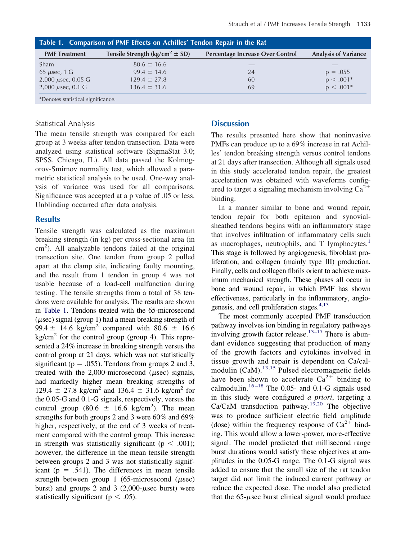| Table 1. Comparison of PMF Effects on Achilles' Tendon Repair in the Rat |                                       |                                         |                             |
|--------------------------------------------------------------------------|---------------------------------------|-----------------------------------------|-----------------------------|
| <b>PMF Treatment</b>                                                     | Tensile Strength ( $kg/cm^2 \pm SD$ ) | <b>Percentage Increase Over Control</b> | <b>Analysis of Variance</b> |
| <b>Sham</b>                                                              | $80.6 \pm 16.6$                       |                                         |                             |
| 65 $\mu$ sec, 1 G                                                        | $99.4 \pm 14.6$                       | 24                                      | $p = .055$                  |
| 2,000 $\mu$ sec, 0.05 G                                                  | $129.4 \pm 27.8$                      | 60                                      | $p < .001*$                 |
| 2,000 $\mu$ sec, 0.1 G                                                   | $136.4 \pm 31.6$                      | 69                                      | $p < .001*$                 |
|                                                                          |                                       |                                         |                             |

\*Denotes statistical significance.

#### Statistical Analysis

The mean tensile strength was compared for each group at 3 weeks after tendon transection. Data were analyzed using statistical software (SigmaStat 3.0; SPSS, Chicago, IL). All data passed the Kolmogorov-Smirnov normality test, which allowed a parametric statistical analysis to be used. One-way analysis of variance was used for all comparisons. Significance was accepted at a p value of .05 or less. Unblinding occurred after data analysis.

#### **Results**

Tensile strength was calculated as the maximum breaking strength (in kg) per cross-sectional area (in cm<sup>2</sup>). All analyzable tendons failed at the original transection site. One tendon from group 2 pulled apart at the clamp site, indicating faulty mounting, and the result from 1 tendon in group 4 was not usable because of a load-cell malfunction during testing. The tensile strengths from a total of 38 tendons were available for analysis. The results are shown in Table 1. Tendons treated with the 65-microsecond  $(\mu \sec)$  signal (group 1) had a mean breaking strength of 99.4  $\pm$  14.6 kg/cm<sup>2</sup> compared with 80.6  $\pm$  16.6  $kg/cm<sup>2</sup>$  for the control group (group 4). This represented a 24% increase in breaking strength versus the control group at 21 days, which was not statistically significant ( $p = .055$ ). Tendons from groups 2 and 3, treated with the 2,000-microsecond  $(\mu \text{sec})$  signals, had markedly higher mean breaking strengths of 129.4  $\pm$  27.8 kg/cm<sup>2</sup> and 136.4  $\pm$  31.6 kg/cm<sup>2</sup> for the 0.05-G and 0.1-G signals, respectively, versus the control group  $(80.6 \pm 16.6 \text{ kg/cm}^2)$ . The mean strengths for both groups 2 and 3 were 60% and 69% higher, respectively, at the end of 3 weeks of treatment compared with the control group. This increase in strength was statistically significant ( $p < .001$ ); however, the difference in the mean tensile strength between groups 2 and 3 was not statistically significant ( $p = .541$ ). The differences in mean tensile strength between group 1 (65-microsecond ( $\mu$ sec) burst) and groups 2 and 3  $(2,000 - \mu \text{sec})$  were statistically significant ( $p < .05$ ).

# **Discussion**

The results presented here show that noninvasive PMFs can produce up to a 69% increase in rat Achilles' tendon breaking strength versus control tendons at 21 days after transection. Although all signals used in this study accelerated tendon repair, the greatest acceleration was obtained with waveforms configured to target a signaling mechanism involving  $Ca^{2+}$ binding.

In a manner similar to bone and wound repair, tendon repair for both epitenon and synovialsheathed tendons begins with an inflammatory stage that involves infiltration of inflammatory cells such as macrophages, neutrophils, and T lymphocytes.<sup>1</sup> This stage is followed by angiogenesis, fibroblast proliferation, and collagen (mainly type III) production. Finally, cells and collagen fibrils orient to achieve maximum mechanical strength. These phases all occur in bone and wound repair, in which PMF has shown effectiveness, particularly in the inflammatory, angiogenesis, and cell proliferation stages. $4,13$ 

The most commonly accepted PMF transduction pathway involves ion binding in regulatory pathways involving growth factor release.<sup>13–17</sup> There is abundant evidence suggesting that production of many of the growth factors and cytokines involved in tissue growth and repair is dependent on Ca/calmodulin  $(CaM)$ .<sup>[13,15](#page-4-0)</sup> Pulsed electromagnetic fields have been shown to accelerate  $Ca^{2+}$  binding to calmodulin.<sup>16-18</sup> The 0.05- and 0.1-G signals used in this study were configured *a priori*, targeting a Ca/CaM transduction pathway[.19,20](#page-4-0) The objective was to produce sufficient electric field amplitude (dose) within the frequency response of  $Ca^{2+}$  binding. This would allow a lower-power, more-effective signal. The model predicted that millisecond range burst durations would satisfy these objectives at amplitudes in the 0.05-G range. The 0.1-G signal was added to ensure that the small size of the rat tendon target did not limit the induced current pathway or reduce the expected dose. The model also predicted that the  $65$ - $\mu$ sec burst clinical signal would produce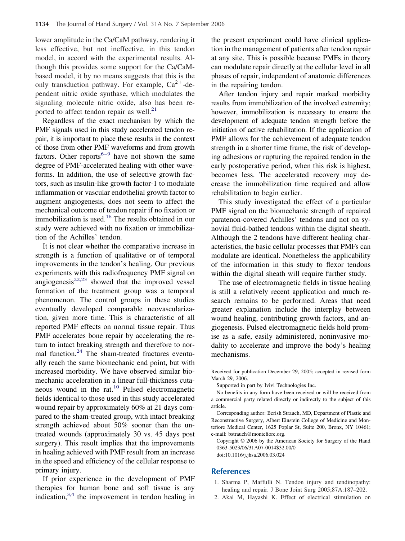<span id="page-3-0"></span>lower amplitude in the Ca/CaM pathway, rendering it less effective, but not ineffective, in this tendon model, in accord with the experimental results. Although this provides some support for the Ca/CaMbased model, it by no means suggests that this is the only transduction pathway. For example,  $Ca^{2+}$ -dependent nitric oxide synthase, which modulates the signaling molecule nitric oxide, also has been reported to affect tendon repair as well. $^{21}$ 

Regardless of the exact mechanism by which the PMF signals used in this study accelerated tendon repair, it is important to place these results in the context of those from other PMF waveforms and from growth factors. Other reports<sup>6-9</sup> have not shown the same degree of PMF-accelerated healing with other waveforms. In addition, the use of selective growth factors, such as insulin-like growth factor-1 to modulate inflammation or vascular endothelial growth factor to augment angiogenesis, does not seem to affect the mechanical outcome of tendon repair if no fixation or immobilization is used.<sup>16</sup> The results obtained in our study were achieved with no fixation or immobilization of the Achilles' tendon.

It is not clear whether the comparative increase in strength is a function of qualitative or of temporal improvements in the tendon's healing. Our previous experiments with this radiofrequency PMF signal on angiogenesis $2^{2,23}$  showed that the improved vessel formation of the treatment group was a temporal phenomenon. The control groups in these studies eventually developed comparable neovascularization, given more time. This is characteristic of all reported PMF effects on normal tissue repair. Thus PMF accelerates bone repair by accelerating the return to intact breaking strength and therefore to normal function.<sup>24</sup> The sham-treated fractures eventually reach the same biomechanic end point, but with increased morbidity. We have observed similar biomechanic acceleration in a linear full-thickness cutaneous wound in the rat.<sup>10</sup> Pulsed electromagnetic fields identical to those used in this study accelerated wound repair by approximately 60% at 21 days compared to the sham-treated group, with intact breaking strength achieved about 50% sooner than the untreated wounds (approximately 30 vs. 45 days post surgery). This result implies that the improvements in healing achieved with PMF result from an increase in the speed and efficiency of the cellular response to primary injury.

If prior experience in the development of PMF therapies for human bone and soft tissue is any indication, $3,4$  the improvement in tendon healing in the present experiment could have clinical application in the management of patients after tendon repair at any site. This is possible because PMFs in theory can modulate repair directly at the cellular level in all phases of repair, independent of anatomic differences in the repairing tendon.

After tendon injury and repair marked morbidity results from immobilization of the involved extremity; however, immobilization is necessary to ensure the development of adequate tendon strength before the initiation of active rehabilitation. If the application of PMF allows for the achievement of adequate tendon strength in a shorter time frame, the risk of developing adhesions or rupturing the repaired tendon in the early postoperative period, when this risk is highest, becomes less. The accelerated recovery may decrease the immobilization time required and allow rehabilitation to begin earlier.

This study investigated the effect of a particular PMF signal on the biomechanic strength of repaired paratenon-covered Achilles' tendons and not on synovial fluid-bathed tendons within the digital sheath. Although the 2 tendons have different healing characteristics, the basic cellular processes that PMFs can modulate are identical. Nonetheless the applicability of the information in this study to flexor tendons within the digital sheath will require further study.

The use of electromagnetic fields in tissue healing is still a relatively recent application and much research remains to be performed. Areas that need greater explanation include the interplay between wound healing, contributing growth factors, and angiogenesis. Pulsed electromagnetic fields hold promise as a safe, easily administered, noninvasive modality to accelerate and improve the body's healing mechanisms.

Copyright © 2006 by the American Society for Surgery of the Hand 0363-5023/06/31A07-0014\$32.00/0

doi:10.1016/j.jhsa.2006.03.024

#### **References**

- 1. Sharma P, Maffulli N. Tendon injury and tendinopathy: healing and repair. J Bone Joint Surg 2005;87A:187–202.
- 2. Akai M, Hayashi K. Effect of electrical stimulation on

Received for publication December 29, 2005; accepted in revised form March 29, 2006.

Supported in part by Ivivi Technologies Inc.

No benefits in any form have been received or will be received from a commercial party related directly or indirectly to the subject of this article.

Corresponding author: Berish Strauch, MD, Department of Plastic and Reconstructive Surgery, Albert Einstein College of Medicine and Montefiore Medical Center, 1625 Poplar St, Suite 200, Bronx, NY 10461; e-mail: bstrauch@montefiore.org.